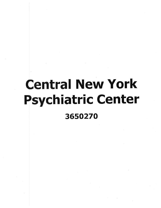## **Central New York Psychiatric Center** 3650270